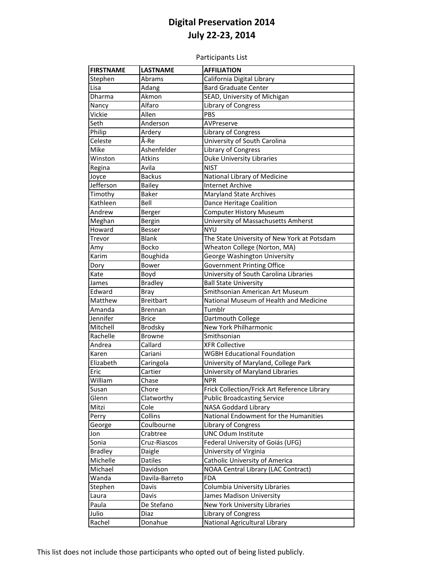Participants List

| <b>FIRSTNAME</b>   | <b>LASTNAME</b>        | <b>AFFILIATION</b>                                  |
|--------------------|------------------------|-----------------------------------------------------|
| Stephen            | Abrams                 | California Digital Library                          |
| Lisa               |                        | <b>Bard Graduate Center</b>                         |
| Dharma             | Adang<br>Akmon         | SEAD, University of Michigan                        |
|                    | Alfaro                 |                                                     |
| Nancy<br>Vickie    | Allen                  | Library of Congress<br>PBS                          |
|                    | Anderson               | AVPreserve                                          |
| Seth               |                        |                                                     |
| Philip<br>Celeste  | Ardery<br>Â-Re         | Library of Congress<br>University of South Carolina |
| Mike               | Ashenfelder            | Library of Congress                                 |
|                    |                        | <b>Duke University Libraries</b>                    |
| Winston            | <b>Atkins</b><br>Avila |                                                     |
| Regina             | <b>Backus</b>          | <b>NIST</b>                                         |
| Joyce<br>Jefferson |                        | National Library of Medicine                        |
|                    | <b>Bailey</b>          | <b>Internet Archive</b>                             |
| Timothy            | Baker                  | Maryland State Archives                             |
| Kathleen           | Bell                   | Dance Heritage Coalition                            |
| Andrew             | Berger                 | <b>Computer History Museum</b>                      |
| Meghan             | Bergin                 | University of Massachusetts Amherst                 |
| Howard             | <b>Besser</b>          | <b>NYU</b>                                          |
| Trevor             | <b>Blank</b>           | The State University of New York at Potsdam         |
| Amy                | Bocko                  | Wheaton College (Norton, MA)                        |
| Karim              | Boughida               | George Washington University                        |
| Dory               | <b>Bower</b>           | Government Printing Office                          |
| Kate               | Boyd                   | University of South Carolina Libraries              |
| James              | <b>Bradley</b>         | <b>Ball State University</b>                        |
| Edward             | Bray                   | Smithsonian American Art Museum                     |
| Matthew            | <b>Breitbart</b>       | National Museum of Health and Medicine              |
| Amanda             | Brennan                | Tumblr                                              |
| Jennifer           | <b>Brice</b>           | Dartmouth College                                   |
| Mitchell           | <b>Brodsky</b>         | New York Philharmonic                               |
| Rachelle           | <b>Browne</b>          | Smithsonian                                         |
| Andrea             | Callard                | <b>XFR Collective</b>                               |
| Karen              | Cariani                | <b>WGBH Educational Foundation</b>                  |
| Elizabeth          | Caringola              | University of Maryland, College Park                |
| Eric               | Cartier                | University of Maryland Libraries                    |
| William            | Chase                  | <b>NPR</b>                                          |
| susan              | Chore                  | Frick Collection/Frick Art Reference Library        |
| Glenn              | Clatworthy             | <b>Public Broadcasting Service</b>                  |
| Mitzi              | Cole                   | <b>NASA Goddard Library</b>                         |
| Perry              | Collins                | National Endowment for the Humanities               |
| George             | Coulbourne             | Library of Congress                                 |
| Jon                | Crabtree               | <b>UNC Odum Institute</b>                           |
| Sonia              | Cruz-Riascos           | Federal University of Goiás (UFG)                   |
| <b>Bradley</b>     | Daigle                 | University of Virginia                              |
| Michelle           | Datiles                | Catholic University of America                      |
| Michael            | Davidson               | NOAA Central Library (LAC Contract)                 |
| Wanda              | Davila-Barreto         | <b>FDA</b>                                          |
| Stephen            | Davis                  | Columbia University Libraries                       |
| Laura              | Davis                  | James Madison University                            |
| Paula              | De Stefano             | New York University Libraries                       |
| Julio              | Diaz                   | Library of Congress                                 |
| Rachel             | Donahue                | National Agricultural Library                       |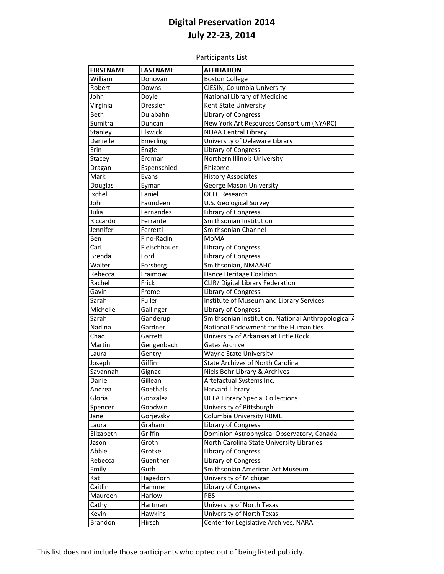Participants List

| <b>FIRSTNAME</b> | <b>LASTNAME</b> | <b>AFFILIATION</b>                                  |
|------------------|-----------------|-----------------------------------------------------|
| William          | Donovan         | <b>Boston College</b>                               |
| Robert           | Downs           | CIESIN, Columbia University                         |
| John             | Doyle           | National Library of Medicine                        |
| Virginia         | Dressler        | Kent State University                               |
| <b>Beth</b>      | Dulabahn        | Library of Congress                                 |
| Sumitra          | Duncan          | New York Art Resources Consortium (NYARC)           |
| Stanley          | Elswick         | <b>NOAA Central Library</b>                         |
| Danielle         | Emerling        | University of Delaware Library                      |
| Erin             | Engle           | Library of Congress                                 |
| Stacey           | Erdman          | Northern Illinois University                        |
| Dragan           | Espenschied     | Rhizome                                             |
| Mark             | Evans           | <b>History Associates</b>                           |
| Douglas          | Eyman           | George Mason University                             |
| Ixchel           | Faniel          | <b>OCLC Research</b>                                |
| John             | Faundeen        | U.S. Geological Survey                              |
| Julia            | Fernandez       | Library of Congress                                 |
| Riccardo         | Ferrante        | Smithsonian Institution                             |
| Jennifer         | Ferretti        | Smithsonian Channel                                 |
| Ben              | Fino-Radin      | MoMA                                                |
| Carl             | Fleischhauer    | Library of Congress                                 |
| <b>Brenda</b>    | Ford            | <b>Library of Congress</b>                          |
| Walter           | Forsberg        | Smithsonian, NMAAHC                                 |
| Rebecca          | Fraimow         | Dance Heritage Coalition                            |
| Rachel           | Frick           | CLIR/ Digital Library Federation                    |
| Gavin            | Frome           | Library of Congress                                 |
| Sarah            | Fuller          | <b>Institute of Museum and Library Services</b>     |
| Michelle         | Gallinger       | Library of Congress                                 |
| Sarah            | Ganderup        | Smithsonian Institution, National Anthropological / |
| Nadina           | Gardner         | National Endowment for the Humanities               |
| Chad             | Garrett         | University of Arkansas at Little Rock               |
| Martin           | Gengenbach      | Gates Archive                                       |
| Laura            | Gentry          | Wayne State University                              |
| Joseph           | Giffin          | <b>State Archives of North Carolina</b>             |
| Savannah         | Gignac          | Niels Bohr Library & Archives                       |
| Daniel           | Gillean         | Artefactual Systems Inc.                            |
| Andrea           | Goethals        | Harvard Library                                     |
| Gloria           | Gonzalez        | <b>UCLA Library Special Collections</b>             |
| Spencer          | Goodwin         | University of Pittsburgh                            |
| Jane             | Gorjevsky       | <b>Columbia University RBML</b>                     |
| Laura            | Graham          | Library of Congress                                 |
| Elizabeth        | Griffin         | Dominion Astrophysical Observatory, Canada          |
| Jason            | Groth           | North Carolina State University Libraries           |
| Abbie            | Grotke          | Library of Congress                                 |
| Rebecca          | Guenther        | Library of Congress                                 |
| Emily            | Guth            | Smithsonian American Art Museum                     |
| Kat              | Hagedorn        | University of Michigan                              |
| Caitlin          | Hammer          | Library of Congress                                 |
| Maureen          | Harlow          | <b>PBS</b>                                          |
| Cathy            | Hartman         | University of North Texas                           |
| Kevin            | Hawkins         | University of North Texas                           |
| <b>Brandon</b>   | Hirsch          | Center for Legislative Archives, NARA               |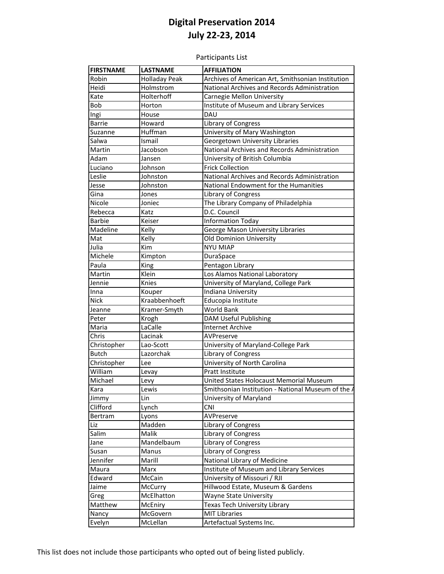Participants List

| Robin<br><b>Holladay Peak</b><br>Archives of American Art, Smithsonian Institution<br>Heidi<br>National Archives and Records Administration<br>Holmstrom<br>Holterhoff<br>Carnegie Mellon University<br>Kate<br>Institute of Museum and Library Services<br>Bob<br>Horton<br>DAU<br>Ingi<br>House<br>Library of Congress<br><b>Barrie</b><br>Howard<br>University of Mary Washington<br>Suzanne<br>Huffman<br>Georgetown University Libraries<br>Salwa<br>Ismail<br>Martin<br>National Archives and Records Administration<br>Jacobson<br>University of British Columbia<br>Adam<br>Jansen<br><b>Frick Collection</b><br>Luciano<br>Johnson<br>National Archives and Records Administration<br>Leslie<br>Johnston<br>National Endowment for the Humanities<br>Jesse<br>Johnston<br>Gina<br>Library of Congress<br>Jones<br>The Library Company of Philadelphia<br>Nicole<br>Joniec<br>D.C. Council<br>Rebecca<br>Katz<br><b>Barbie</b><br><b>Information Today</b><br>Keiser<br>George Mason University Libraries<br>Madeline<br>Kelly<br>Old Dominion University<br>Mat<br>Kelly<br>Julia<br>Kim<br><b>NYU MIAP</b><br>Michele<br>DuraSpace<br>Kimpton<br>Paula<br>King<br>Pentagon Library<br>Martin<br>Klein<br>Los Alamos National Laboratory<br>University of Maryland, College Park<br>Jennie<br>Knies<br>Indiana University<br>Inna<br>Kouper<br>Kraabbenhoeft<br><b>Nick</b><br>Educopia Institute<br>World Bank<br>Kramer-Smyth<br>Jeanne<br>DAM Useful Publishing<br>Peter<br>Krogh<br>LaCalle<br><b>Internet Archive</b><br>Maria<br>Chris<br>Lacinak<br>AVPreserve<br>Christopher<br>University of Maryland-College Park<br>Lao-Scott<br><b>Butch</b><br>Lazorchak<br>Library of Congress<br>Christopher<br>University of North Carolina<br>Lee<br>William<br>Pratt Institute<br>Levay<br>United States Holocaust Memorial Museum<br>Michael<br>Levy<br>Smithsonian Institution - National Museum of the A<br>Lewis<br>Kara<br>Lin<br>University of Maryland<br>Jimmy<br>Clifford<br><b>CNI</b><br>Lynch<br>AVPreserve<br>Bertram<br>Lyons<br>Madden<br>Library of Congress<br>Liz<br>Library of Congress<br>Salim<br>Malik<br>Mandelbaum<br>Library of Congress<br>Jane<br>Susan<br>Manus<br>Library of Congress<br>National Library of Medicine<br>Jennifer<br>Marill<br>Institute of Museum and Library Services<br>Maura<br>Marx<br>University of Missouri / RJI<br>Edward<br>McCain |
|------------------------------------------------------------------------------------------------------------------------------------------------------------------------------------------------------------------------------------------------------------------------------------------------------------------------------------------------------------------------------------------------------------------------------------------------------------------------------------------------------------------------------------------------------------------------------------------------------------------------------------------------------------------------------------------------------------------------------------------------------------------------------------------------------------------------------------------------------------------------------------------------------------------------------------------------------------------------------------------------------------------------------------------------------------------------------------------------------------------------------------------------------------------------------------------------------------------------------------------------------------------------------------------------------------------------------------------------------------------------------------------------------------------------------------------------------------------------------------------------------------------------------------------------------------------------------------------------------------------------------------------------------------------------------------------------------------------------------------------------------------------------------------------------------------------------------------------------------------------------------------------------------------------------------------------------------------------------------------------------------------------------------------------------------------------------------------------------------------------------------------------------------------------------------------------------------------------------------------------------------------------------------------------------------------------------------------------------------------------------------------------------------|
|                                                                                                                                                                                                                                                                                                                                                                                                                                                                                                                                                                                                                                                                                                                                                                                                                                                                                                                                                                                                                                                                                                                                                                                                                                                                                                                                                                                                                                                                                                                                                                                                                                                                                                                                                                                                                                                                                                                                                                                                                                                                                                                                                                                                                                                                                                                                                                                                      |
|                                                                                                                                                                                                                                                                                                                                                                                                                                                                                                                                                                                                                                                                                                                                                                                                                                                                                                                                                                                                                                                                                                                                                                                                                                                                                                                                                                                                                                                                                                                                                                                                                                                                                                                                                                                                                                                                                                                                                                                                                                                                                                                                                                                                                                                                                                                                                                                                      |
|                                                                                                                                                                                                                                                                                                                                                                                                                                                                                                                                                                                                                                                                                                                                                                                                                                                                                                                                                                                                                                                                                                                                                                                                                                                                                                                                                                                                                                                                                                                                                                                                                                                                                                                                                                                                                                                                                                                                                                                                                                                                                                                                                                                                                                                                                                                                                                                                      |
|                                                                                                                                                                                                                                                                                                                                                                                                                                                                                                                                                                                                                                                                                                                                                                                                                                                                                                                                                                                                                                                                                                                                                                                                                                                                                                                                                                                                                                                                                                                                                                                                                                                                                                                                                                                                                                                                                                                                                                                                                                                                                                                                                                                                                                                                                                                                                                                                      |
|                                                                                                                                                                                                                                                                                                                                                                                                                                                                                                                                                                                                                                                                                                                                                                                                                                                                                                                                                                                                                                                                                                                                                                                                                                                                                                                                                                                                                                                                                                                                                                                                                                                                                                                                                                                                                                                                                                                                                                                                                                                                                                                                                                                                                                                                                                                                                                                                      |
|                                                                                                                                                                                                                                                                                                                                                                                                                                                                                                                                                                                                                                                                                                                                                                                                                                                                                                                                                                                                                                                                                                                                                                                                                                                                                                                                                                                                                                                                                                                                                                                                                                                                                                                                                                                                                                                                                                                                                                                                                                                                                                                                                                                                                                                                                                                                                                                                      |
|                                                                                                                                                                                                                                                                                                                                                                                                                                                                                                                                                                                                                                                                                                                                                                                                                                                                                                                                                                                                                                                                                                                                                                                                                                                                                                                                                                                                                                                                                                                                                                                                                                                                                                                                                                                                                                                                                                                                                                                                                                                                                                                                                                                                                                                                                                                                                                                                      |
|                                                                                                                                                                                                                                                                                                                                                                                                                                                                                                                                                                                                                                                                                                                                                                                                                                                                                                                                                                                                                                                                                                                                                                                                                                                                                                                                                                                                                                                                                                                                                                                                                                                                                                                                                                                                                                                                                                                                                                                                                                                                                                                                                                                                                                                                                                                                                                                                      |
|                                                                                                                                                                                                                                                                                                                                                                                                                                                                                                                                                                                                                                                                                                                                                                                                                                                                                                                                                                                                                                                                                                                                                                                                                                                                                                                                                                                                                                                                                                                                                                                                                                                                                                                                                                                                                                                                                                                                                                                                                                                                                                                                                                                                                                                                                                                                                                                                      |
|                                                                                                                                                                                                                                                                                                                                                                                                                                                                                                                                                                                                                                                                                                                                                                                                                                                                                                                                                                                                                                                                                                                                                                                                                                                                                                                                                                                                                                                                                                                                                                                                                                                                                                                                                                                                                                                                                                                                                                                                                                                                                                                                                                                                                                                                                                                                                                                                      |
|                                                                                                                                                                                                                                                                                                                                                                                                                                                                                                                                                                                                                                                                                                                                                                                                                                                                                                                                                                                                                                                                                                                                                                                                                                                                                                                                                                                                                                                                                                                                                                                                                                                                                                                                                                                                                                                                                                                                                                                                                                                                                                                                                                                                                                                                                                                                                                                                      |
|                                                                                                                                                                                                                                                                                                                                                                                                                                                                                                                                                                                                                                                                                                                                                                                                                                                                                                                                                                                                                                                                                                                                                                                                                                                                                                                                                                                                                                                                                                                                                                                                                                                                                                                                                                                                                                                                                                                                                                                                                                                                                                                                                                                                                                                                                                                                                                                                      |
|                                                                                                                                                                                                                                                                                                                                                                                                                                                                                                                                                                                                                                                                                                                                                                                                                                                                                                                                                                                                                                                                                                                                                                                                                                                                                                                                                                                                                                                                                                                                                                                                                                                                                                                                                                                                                                                                                                                                                                                                                                                                                                                                                                                                                                                                                                                                                                                                      |
|                                                                                                                                                                                                                                                                                                                                                                                                                                                                                                                                                                                                                                                                                                                                                                                                                                                                                                                                                                                                                                                                                                                                                                                                                                                                                                                                                                                                                                                                                                                                                                                                                                                                                                                                                                                                                                                                                                                                                                                                                                                                                                                                                                                                                                                                                                                                                                                                      |
|                                                                                                                                                                                                                                                                                                                                                                                                                                                                                                                                                                                                                                                                                                                                                                                                                                                                                                                                                                                                                                                                                                                                                                                                                                                                                                                                                                                                                                                                                                                                                                                                                                                                                                                                                                                                                                                                                                                                                                                                                                                                                                                                                                                                                                                                                                                                                                                                      |
|                                                                                                                                                                                                                                                                                                                                                                                                                                                                                                                                                                                                                                                                                                                                                                                                                                                                                                                                                                                                                                                                                                                                                                                                                                                                                                                                                                                                                                                                                                                                                                                                                                                                                                                                                                                                                                                                                                                                                                                                                                                                                                                                                                                                                                                                                                                                                                                                      |
|                                                                                                                                                                                                                                                                                                                                                                                                                                                                                                                                                                                                                                                                                                                                                                                                                                                                                                                                                                                                                                                                                                                                                                                                                                                                                                                                                                                                                                                                                                                                                                                                                                                                                                                                                                                                                                                                                                                                                                                                                                                                                                                                                                                                                                                                                                                                                                                                      |
|                                                                                                                                                                                                                                                                                                                                                                                                                                                                                                                                                                                                                                                                                                                                                                                                                                                                                                                                                                                                                                                                                                                                                                                                                                                                                                                                                                                                                                                                                                                                                                                                                                                                                                                                                                                                                                                                                                                                                                                                                                                                                                                                                                                                                                                                                                                                                                                                      |
|                                                                                                                                                                                                                                                                                                                                                                                                                                                                                                                                                                                                                                                                                                                                                                                                                                                                                                                                                                                                                                                                                                                                                                                                                                                                                                                                                                                                                                                                                                                                                                                                                                                                                                                                                                                                                                                                                                                                                                                                                                                                                                                                                                                                                                                                                                                                                                                                      |
|                                                                                                                                                                                                                                                                                                                                                                                                                                                                                                                                                                                                                                                                                                                                                                                                                                                                                                                                                                                                                                                                                                                                                                                                                                                                                                                                                                                                                                                                                                                                                                                                                                                                                                                                                                                                                                                                                                                                                                                                                                                                                                                                                                                                                                                                                                                                                                                                      |
|                                                                                                                                                                                                                                                                                                                                                                                                                                                                                                                                                                                                                                                                                                                                                                                                                                                                                                                                                                                                                                                                                                                                                                                                                                                                                                                                                                                                                                                                                                                                                                                                                                                                                                                                                                                                                                                                                                                                                                                                                                                                                                                                                                                                                                                                                                                                                                                                      |
|                                                                                                                                                                                                                                                                                                                                                                                                                                                                                                                                                                                                                                                                                                                                                                                                                                                                                                                                                                                                                                                                                                                                                                                                                                                                                                                                                                                                                                                                                                                                                                                                                                                                                                                                                                                                                                                                                                                                                                                                                                                                                                                                                                                                                                                                                                                                                                                                      |
|                                                                                                                                                                                                                                                                                                                                                                                                                                                                                                                                                                                                                                                                                                                                                                                                                                                                                                                                                                                                                                                                                                                                                                                                                                                                                                                                                                                                                                                                                                                                                                                                                                                                                                                                                                                                                                                                                                                                                                                                                                                                                                                                                                                                                                                                                                                                                                                                      |
|                                                                                                                                                                                                                                                                                                                                                                                                                                                                                                                                                                                                                                                                                                                                                                                                                                                                                                                                                                                                                                                                                                                                                                                                                                                                                                                                                                                                                                                                                                                                                                                                                                                                                                                                                                                                                                                                                                                                                                                                                                                                                                                                                                                                                                                                                                                                                                                                      |
|                                                                                                                                                                                                                                                                                                                                                                                                                                                                                                                                                                                                                                                                                                                                                                                                                                                                                                                                                                                                                                                                                                                                                                                                                                                                                                                                                                                                                                                                                                                                                                                                                                                                                                                                                                                                                                                                                                                                                                                                                                                                                                                                                                                                                                                                                                                                                                                                      |
|                                                                                                                                                                                                                                                                                                                                                                                                                                                                                                                                                                                                                                                                                                                                                                                                                                                                                                                                                                                                                                                                                                                                                                                                                                                                                                                                                                                                                                                                                                                                                                                                                                                                                                                                                                                                                                                                                                                                                                                                                                                                                                                                                                                                                                                                                                                                                                                                      |
|                                                                                                                                                                                                                                                                                                                                                                                                                                                                                                                                                                                                                                                                                                                                                                                                                                                                                                                                                                                                                                                                                                                                                                                                                                                                                                                                                                                                                                                                                                                                                                                                                                                                                                                                                                                                                                                                                                                                                                                                                                                                                                                                                                                                                                                                                                                                                                                                      |
|                                                                                                                                                                                                                                                                                                                                                                                                                                                                                                                                                                                                                                                                                                                                                                                                                                                                                                                                                                                                                                                                                                                                                                                                                                                                                                                                                                                                                                                                                                                                                                                                                                                                                                                                                                                                                                                                                                                                                                                                                                                                                                                                                                                                                                                                                                                                                                                                      |
|                                                                                                                                                                                                                                                                                                                                                                                                                                                                                                                                                                                                                                                                                                                                                                                                                                                                                                                                                                                                                                                                                                                                                                                                                                                                                                                                                                                                                                                                                                                                                                                                                                                                                                                                                                                                                                                                                                                                                                                                                                                                                                                                                                                                                                                                                                                                                                                                      |
|                                                                                                                                                                                                                                                                                                                                                                                                                                                                                                                                                                                                                                                                                                                                                                                                                                                                                                                                                                                                                                                                                                                                                                                                                                                                                                                                                                                                                                                                                                                                                                                                                                                                                                                                                                                                                                                                                                                                                                                                                                                                                                                                                                                                                                                                                                                                                                                                      |
|                                                                                                                                                                                                                                                                                                                                                                                                                                                                                                                                                                                                                                                                                                                                                                                                                                                                                                                                                                                                                                                                                                                                                                                                                                                                                                                                                                                                                                                                                                                                                                                                                                                                                                                                                                                                                                                                                                                                                                                                                                                                                                                                                                                                                                                                                                                                                                                                      |
|                                                                                                                                                                                                                                                                                                                                                                                                                                                                                                                                                                                                                                                                                                                                                                                                                                                                                                                                                                                                                                                                                                                                                                                                                                                                                                                                                                                                                                                                                                                                                                                                                                                                                                                                                                                                                                                                                                                                                                                                                                                                                                                                                                                                                                                                                                                                                                                                      |
|                                                                                                                                                                                                                                                                                                                                                                                                                                                                                                                                                                                                                                                                                                                                                                                                                                                                                                                                                                                                                                                                                                                                                                                                                                                                                                                                                                                                                                                                                                                                                                                                                                                                                                                                                                                                                                                                                                                                                                                                                                                                                                                                                                                                                                                                                                                                                                                                      |
|                                                                                                                                                                                                                                                                                                                                                                                                                                                                                                                                                                                                                                                                                                                                                                                                                                                                                                                                                                                                                                                                                                                                                                                                                                                                                                                                                                                                                                                                                                                                                                                                                                                                                                                                                                                                                                                                                                                                                                                                                                                                                                                                                                                                                                                                                                                                                                                                      |
|                                                                                                                                                                                                                                                                                                                                                                                                                                                                                                                                                                                                                                                                                                                                                                                                                                                                                                                                                                                                                                                                                                                                                                                                                                                                                                                                                                                                                                                                                                                                                                                                                                                                                                                                                                                                                                                                                                                                                                                                                                                                                                                                                                                                                                                                                                                                                                                                      |
|                                                                                                                                                                                                                                                                                                                                                                                                                                                                                                                                                                                                                                                                                                                                                                                                                                                                                                                                                                                                                                                                                                                                                                                                                                                                                                                                                                                                                                                                                                                                                                                                                                                                                                                                                                                                                                                                                                                                                                                                                                                                                                                                                                                                                                                                                                                                                                                                      |
|                                                                                                                                                                                                                                                                                                                                                                                                                                                                                                                                                                                                                                                                                                                                                                                                                                                                                                                                                                                                                                                                                                                                                                                                                                                                                                                                                                                                                                                                                                                                                                                                                                                                                                                                                                                                                                                                                                                                                                                                                                                                                                                                                                                                                                                                                                                                                                                                      |
|                                                                                                                                                                                                                                                                                                                                                                                                                                                                                                                                                                                                                                                                                                                                                                                                                                                                                                                                                                                                                                                                                                                                                                                                                                                                                                                                                                                                                                                                                                                                                                                                                                                                                                                                                                                                                                                                                                                                                                                                                                                                                                                                                                                                                                                                                                                                                                                                      |
|                                                                                                                                                                                                                                                                                                                                                                                                                                                                                                                                                                                                                                                                                                                                                                                                                                                                                                                                                                                                                                                                                                                                                                                                                                                                                                                                                                                                                                                                                                                                                                                                                                                                                                                                                                                                                                                                                                                                                                                                                                                                                                                                                                                                                                                                                                                                                                                                      |
|                                                                                                                                                                                                                                                                                                                                                                                                                                                                                                                                                                                                                                                                                                                                                                                                                                                                                                                                                                                                                                                                                                                                                                                                                                                                                                                                                                                                                                                                                                                                                                                                                                                                                                                                                                                                                                                                                                                                                                                                                                                                                                                                                                                                                                                                                                                                                                                                      |
|                                                                                                                                                                                                                                                                                                                                                                                                                                                                                                                                                                                                                                                                                                                                                                                                                                                                                                                                                                                                                                                                                                                                                                                                                                                                                                                                                                                                                                                                                                                                                                                                                                                                                                                                                                                                                                                                                                                                                                                                                                                                                                                                                                                                                                                                                                                                                                                                      |
|                                                                                                                                                                                                                                                                                                                                                                                                                                                                                                                                                                                                                                                                                                                                                                                                                                                                                                                                                                                                                                                                                                                                                                                                                                                                                                                                                                                                                                                                                                                                                                                                                                                                                                                                                                                                                                                                                                                                                                                                                                                                                                                                                                                                                                                                                                                                                                                                      |
|                                                                                                                                                                                                                                                                                                                                                                                                                                                                                                                                                                                                                                                                                                                                                                                                                                                                                                                                                                                                                                                                                                                                                                                                                                                                                                                                                                                                                                                                                                                                                                                                                                                                                                                                                                                                                                                                                                                                                                                                                                                                                                                                                                                                                                                                                                                                                                                                      |
|                                                                                                                                                                                                                                                                                                                                                                                                                                                                                                                                                                                                                                                                                                                                                                                                                                                                                                                                                                                                                                                                                                                                                                                                                                                                                                                                                                                                                                                                                                                                                                                                                                                                                                                                                                                                                                                                                                                                                                                                                                                                                                                                                                                                                                                                                                                                                                                                      |
|                                                                                                                                                                                                                                                                                                                                                                                                                                                                                                                                                                                                                                                                                                                                                                                                                                                                                                                                                                                                                                                                                                                                                                                                                                                                                                                                                                                                                                                                                                                                                                                                                                                                                                                                                                                                                                                                                                                                                                                                                                                                                                                                                                                                                                                                                                                                                                                                      |
|                                                                                                                                                                                                                                                                                                                                                                                                                                                                                                                                                                                                                                                                                                                                                                                                                                                                                                                                                                                                                                                                                                                                                                                                                                                                                                                                                                                                                                                                                                                                                                                                                                                                                                                                                                                                                                                                                                                                                                                                                                                                                                                                                                                                                                                                                                                                                                                                      |
| Hillwood Estate, Museum & Gardens<br>Jaime<br>McCurry                                                                                                                                                                                                                                                                                                                                                                                                                                                                                                                                                                                                                                                                                                                                                                                                                                                                                                                                                                                                                                                                                                                                                                                                                                                                                                                                                                                                                                                                                                                                                                                                                                                                                                                                                                                                                                                                                                                                                                                                                                                                                                                                                                                                                                                                                                                                                |
| McElhatton<br><b>Wayne State University</b><br>Greg                                                                                                                                                                                                                                                                                                                                                                                                                                                                                                                                                                                                                                                                                                                                                                                                                                                                                                                                                                                                                                                                                                                                                                                                                                                                                                                                                                                                                                                                                                                                                                                                                                                                                                                                                                                                                                                                                                                                                                                                                                                                                                                                                                                                                                                                                                                                                  |
| Matthew<br>McEniry<br>Texas Tech University Library                                                                                                                                                                                                                                                                                                                                                                                                                                                                                                                                                                                                                                                                                                                                                                                                                                                                                                                                                                                                                                                                                                                                                                                                                                                                                                                                                                                                                                                                                                                                                                                                                                                                                                                                                                                                                                                                                                                                                                                                                                                                                                                                                                                                                                                                                                                                                  |
| <b>MIT Libraries</b><br>McGovern<br>Nancy                                                                                                                                                                                                                                                                                                                                                                                                                                                                                                                                                                                                                                                                                                                                                                                                                                                                                                                                                                                                                                                                                                                                                                                                                                                                                                                                                                                                                                                                                                                                                                                                                                                                                                                                                                                                                                                                                                                                                                                                                                                                                                                                                                                                                                                                                                                                                            |
|                                                                                                                                                                                                                                                                                                                                                                                                                                                                                                                                                                                                                                                                                                                                                                                                                                                                                                                                                                                                                                                                                                                                                                                                                                                                                                                                                                                                                                                                                                                                                                                                                                                                                                                                                                                                                                                                                                                                                                                                                                                                                                                                                                                                                                                                                                                                                                                                      |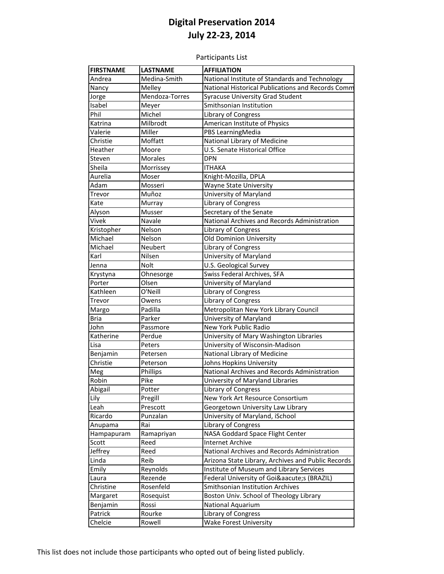Participants List

| <b>FIRSTNAME</b> | <b>LASTNAME</b> | <b>AFFILIATION</b>                                 |
|------------------|-----------------|----------------------------------------------------|
| Andrea           | Medina-Smith    | National Institute of Standards and Technology     |
| Nancy            | Melley          | National Historical Publications and Records Comm  |
| Jorge            | Mendoza-Torres  | <b>Syracuse University Grad Student</b>            |
| Isabel           | Meyer           | Smithsonian Institution                            |
| Phil             | Michel          | Library of Congress                                |
| Katrina          | Milbrodt        | American Institute of Physics                      |
| Valerie          | Miller          | PBS LearningMedia                                  |
| Christie         | Moffatt         | National Library of Medicine                       |
| Heather          | Moore           | U.S. Senate Historical Office                      |
| Steven           | <b>Morales</b>  | <b>DPN</b>                                         |
| Sheila           | Morrissey       | <b>ITHAKA</b>                                      |
| Aurelia          | Moser           | Knight-Mozilla, DPLA                               |
| Adam             | Mosseri         | <b>Wayne State University</b>                      |
| Trevor           | Muñoz           | University of Maryland                             |
| Kate             | Murray          | Library of Congress                                |
| Alyson           | Musser          | Secretary of the Senate                            |
| Vivek            | Navale          | National Archives and Records Administration       |
| Kristopher       | Nelson          | Library of Congress                                |
| Michael          | Nelson          | Old Dominion University                            |
| Michael          | <b>Neubert</b>  | Library of Congress                                |
| Karl             | Nilsen          | University of Maryland                             |
| Jenna            | Nolt            | U.S. Geological Survey                             |
| Krystyna         | Ohnesorge       | Swiss Federal Archives, SFA                        |
| Porter           | Olsen           | University of Maryland                             |
| Kathleen         | O'Neill         | Library of Congress                                |
| Trevor           | Owens           | Library of Congress                                |
| Margo            | Padilla         | Metropolitan New York Library Council              |
| Bria             | Parker          | University of Maryland                             |
| John             | Passmore        | New York Public Radio                              |
| Katherine        | Perdue          | University of Mary Washington Libraries            |
| Lisa             | Peters          | University of Wisconsin-Madison                    |
| Benjamin         | Petersen        | National Library of Medicine                       |
| Christie         | Peterson        | Johns Hopkins University                           |
| Meg              | Phillips        | National Archives and Records Administration       |
| Robin            | Pike            | University of Maryland Libraries                   |
| Abigail          | Potter          | Library of Congress                                |
| Lily             | Pregill         | New York Art Resource Consortium                   |
| Leah             | Prescott        | Georgetown University Law Library                  |
| Ricardo          | Punzalan        | University of Maryland, iSchool                    |
| Anupama          | Rai             | Library of Congress                                |
| Hampapuram       | Ramapriyan      | NASA Goddard Space Flight Center                   |
| Scott            | Reed            | Internet Archive                                   |
| Jeffrey          | Reed            | National Archives and Records Administration       |
| Linda            | Reib            | Arizona State Library, Archives and Public Records |
| Emily            | Reynolds        | Institute of Museum and Library Services           |
| Laura            | Rezende         | Federal University of Goiás (BRAZIL)               |
| Christine        | Rosenfeld       | Smithsonian Institution Archives                   |
| Margaret         | Rosequist       | Boston Univ. School of Theology Library            |
| Benjamin         | Rossi           | <b>National Aquarium</b>                           |
| Patrick          | Rourke          | Library of Congress                                |
| Chelcie          | Rowell          | <b>Wake Forest University</b>                      |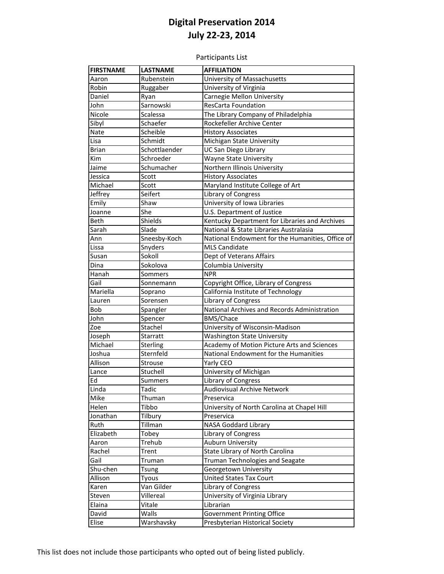Participants List

| <b>FIRSTNAME</b> | <b>LASTNAME</b> | <b>AFFILIATION</b>                               |
|------------------|-----------------|--------------------------------------------------|
| Aaron            | Rubenstein      | University of Massachusetts                      |
| Robin            | Ruggaber        | University of Virginia                           |
| Daniel           | Ryan            | Carnegie Mellon University                       |
| John             | Sarnowski       | <b>ResCarta Foundation</b>                       |
| Nicole           | Scalessa        | The Library Company of Philadelphia              |
| Sibyl            | Schaefer        | Rockefeller Archive Center                       |
| Nate             | Scheible        | <b>History Associates</b>                        |
| Lisa             | Schmidt         | Michigan State University                        |
| <b>Brian</b>     | Schottlaender   | UC San Diego Library                             |
| Kim              | Schroeder       | <b>Wayne State University</b>                    |
| Jaime            | Schumacher      | Northern Illinois University                     |
| Jessica          | Scott           | <b>History Associates</b>                        |
| Michael          | Scott           | Maryland Institute College of Art                |
| Jeffrey          | Seifert         | Library of Congress                              |
| Emily            | Shaw            | University of Iowa Libraries                     |
| Joanne           | She             | U.S. Department of Justice                       |
| Beth             | Shields         | Kentucky Department for Libraries and Archives   |
| Sarah            | Slade           | National & State Libraries Australasia           |
| Ann              | Sneesby-Koch    | National Endowment for the Humanities, Office of |
| Lissa            | Snyders         | <b>MLS Candidate</b>                             |
| Susan            | Sokoll          | Dept of Veterans Affairs                         |
| Dina             | Sokolova        | Columbia University                              |
| Hanah            | Sommers         | <b>NPR</b>                                       |
| Gail             | Sonnemann       | Copyright Office, Library of Congress            |
| Mariella         | Soprano         | California Institute of Technology               |
| Lauren           | Sorensen        | Library of Congress                              |
| Bob              | Spangler        | National Archives and Records Administration     |
| John             | Spencer         | <b>BMS/Chace</b>                                 |
| Zoe              | Stachel         | University of Wisconsin-Madison                  |
| Joseph           | Starratt        | <b>Washington State University</b>               |
| Michael          | Sterling        | Academy of Motion Picture Arts and Sciences      |
| Joshua           | Sternfeld       | National Endowment for the Humanities            |
| Allison          | Strouse         | Yarly CEO                                        |
| Lance            | Stuchell        | University of Michigan                           |
| Ed               | <b>Summers</b>  | Library of Congress                              |
| Linda            | Tadic           | Audiovisual Archive Network                      |
| Mike             | Thuman          | Preservica                                       |
| Helen            | Tibbo           | University of North Carolina at Chapel Hill      |
| Jonathan         | Tilbury         | Preservica                                       |
| Ruth             | Tillman         | <b>NASA Goddard Library</b>                      |
| Elizabeth        | Tobey           | Library of Congress                              |
| Aaron            | Trehub          | Auburn University                                |
| Rachel           | Trent           | State Library of North Carolina                  |
| Gail             | Truman          | Truman Technologies and Seagate                  |
| Shu-chen         | Tsung           | Georgetown University                            |
| Allison          | <b>Tyous</b>    | <b>United States Tax Court</b>                   |
| Karen            | Van Gilder      | Library of Congress                              |
| Steven           | Villereal       | University of Virginia Library                   |
| Elaina           | Vitale          | Librarian                                        |
| David            | Walls           | <b>Government Printing Office</b>                |
| Elise            | Warshavsky      | Presbyterian Historical Society                  |
|                  |                 |                                                  |